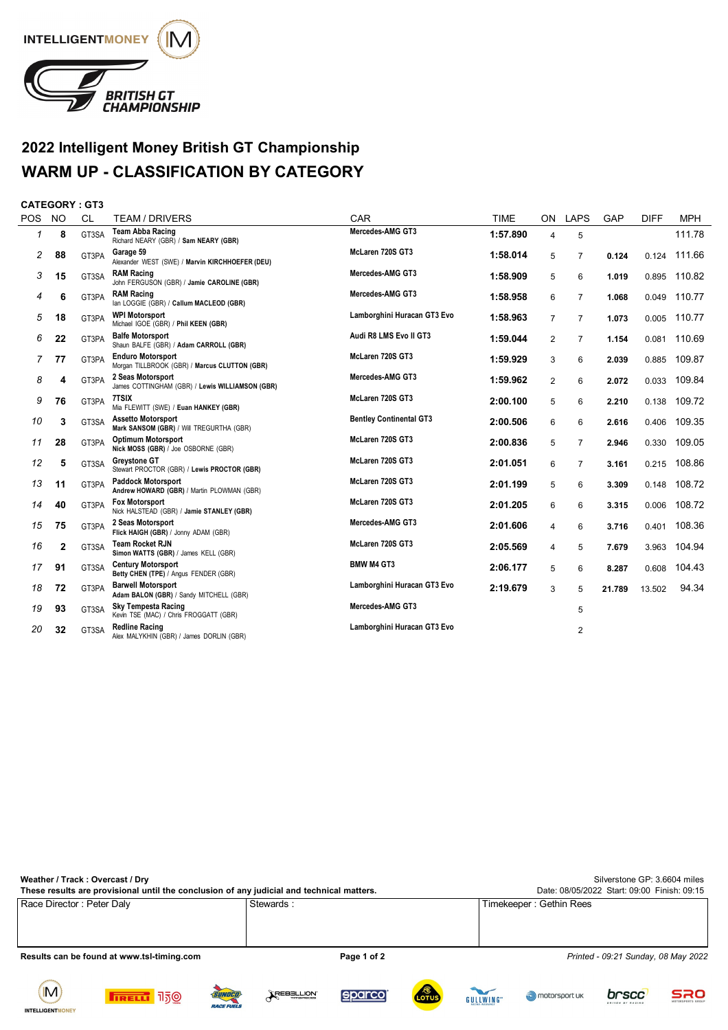

## **2022 Intelligent Money British GT Championship WARM UP - CLASSIFICATION BY CATEGORY**

## **CATEGORY : GT3**

| <b>POS</b> | <b>NO</b> | <b>CL</b> | <b>TEAM / DRIVERS</b>                                                     | CAR                            | <b>TIME</b> | ON             | <b>LAPS</b>    | GAP    | <b>DIFF</b> | <b>MPH</b> |
|------------|-----------|-----------|---------------------------------------------------------------------------|--------------------------------|-------------|----------------|----------------|--------|-------------|------------|
| 1          | 8         | GT3SA     | <b>Team Abba Racing</b><br>Richard NEARY (GBR) / Sam NEARY (GBR)          | Mercedes-AMG GT3               | 1:57.890    | 4              | 5              |        |             | 111.78     |
| 2          | 88        | GT3PA     | Garage 59<br>Alexander WEST (SWE) / Marvin KIRCHHOEFER (DEU)              | McLaren 720S GT3               | 1:58.014    | 5              | 7              | 0.124  | 0.124       | 111.66     |
| 3          | 15        | GT3SA     | <b>RAM Racing</b><br>John FERGUSON (GBR) / Jamie CAROLINE (GBR)           | Mercedes-AMG GT3               | 1:58.909    | 5              | 6              | 1.019  | 0.895       | 110.82     |
| 4          | 6         | GT3PA     | <b>RAM Racing</b><br>lan LOGGIE (GBR) / Callum MACLEOD (GBR)              | Mercedes-AMG GT3               | 1:58.958    | 6              | 7              | 1.068  | 0.049       | 110.77     |
| 5          | 18        | GT3PA     | <b>WPI Motorsport</b><br>Michael IGOE (GBR) / Phil KEEN (GBR)             | Lamborghini Huracan GT3 Evo    | 1:58.963    | $\overline{7}$ | $\overline{7}$ | 1.073  | 0.005       | 110.77     |
| 6          | 22        | GT3PA     | <b>Balfe Motorsport</b><br>Shaun BALFE (GBR) / Adam CARROLL (GBR)         | Audi R8 LMS Evo II GT3         | 1:59.044    | 2              | 7              | 1.154  | 0.081       | 110.69     |
| 7          | 77        | GT3PA     | <b>Enduro Motorsport</b><br>Morgan TILLBROOK (GBR) / Marcus CLUTTON (GBR) | McLaren 720S GT3               | 1:59.929    | 3              | 6              | 2.039  | 0.885       | 109.87     |
| 8          | 4         | GT3PA     | 2 Seas Motorsport<br>James COTTINGHAM (GBR) / Lewis WILLIAMSON (GBR)      | Mercedes-AMG GT3               | 1:59.962    | $\overline{2}$ | 6              | 2.072  | 0.033       | 109.84     |
| 9          | 76        | GT3PA     | 7TSIX<br>Mia FLEWITT (SWE) / Euan HANKEY (GBR)                            | McLaren 720S GT3               | 2:00.100    | 5              | 6              | 2.210  | 0.138       | 109.72     |
| 10         | 3         | GT3SA     | <b>Assetto Motorsport</b><br>Mark SANSOM (GBR) / Will TREGURTHA (GBR)     | <b>Bentley Continental GT3</b> | 2:00.506    | 6              | 6              | 2.616  | 0.406       | 109.35     |
| 11         | 28        | GT3PA     | <b>Optimum Motorsport</b><br>Nick MOSS (GBR) / Joe OSBORNE (GBR)          | McLaren 720S GT3               | 2:00.836    | 5              | 7              | 2.946  | 0.330       | 109.05     |
| 12         | 5         | GT3SA     | <b>Greystone GT</b><br>Stewart PROCTOR (GBR) / Lewis PROCTOR (GBR)        | McLaren 720S GT3               | 2:01.051    | 6              | 7              | 3.161  | 0.215       | 108.86     |
| 13         | 11        | GT3PA     | <b>Paddock Motorsport</b><br>Andrew HOWARD (GBR) / Martin PLOWMAN (GBR)   | McLaren 720S GT3               | 2:01.199    | 5              | 6              | 3.309  | 0.148       | 108.72     |
| 14         | 40        | GT3PA     | <b>Fox Motorsport</b><br>Nick HALSTEAD (GBR) / Jamie STANLEY (GBR)        | McLaren 720S GT3               | 2:01.205    | 6              | 6              | 3.315  | 0.006       | 108.72     |
| 15         | 75        | GT3PA     | 2 Seas Motorsport<br>Flick HAIGH (GBR) / Jonny ADAM (GBR)                 | Mercedes-AMG GT3               | 2:01.606    | 4              | 6              | 3.716  | 0.401       | 108.36     |
| 16         | 2         | GT3SA     | <b>Team Rocket RJN</b><br>Simon WATTS (GBR) / James KELL (GBR)            | McLaren 720S GT3               | 2:05.569    | 4              | 5              | 7.679  | 3.963       | 104.94     |
| 17         | 91        | GT3SA     | <b>Century Motorsport</b><br>Betty CHEN (TPE) / Angus FENDER (GBR)        | <b>BMW M4 GT3</b>              | 2:06.177    | 5              | 6              | 8.287  | 0.608       | 104.43     |
| 18         | 72        | GT3PA     | <b>Barwell Motorsport</b><br>Adam BALON (GBR) / Sandy MITCHELL (GBR)      | Lamborghini Huracan GT3 Evo    | 2:19.679    | 3              | 5              | 21.789 | 13.502      | 94.34      |
| 19         | 93        | GT3SA     | <b>Sky Tempesta Racing</b><br>Kevin TSE (MAC) / Chris FROGGATT (GBR)      | Mercedes-AMG GT3               |             |                | 5              |        |             |            |
| 20         | 32        | GT3SA     | <b>Redline Racing</b><br>Alex MALYKHIN (GBR) / James DORLIN (GBR)         | Lamborghini Huracan GT3 Evo    |             |                | 2              |        |             |            |

| Weather / Track: Overcast / Dry<br>These results are provisional until the conclusion of any judicial and technical matters. | Silverstone GP: 3.6604 miles<br>Date: 08/05/2022 Start: 09:00 Finish: 09:15 |                                     |
|------------------------------------------------------------------------------------------------------------------------------|-----------------------------------------------------------------------------|-------------------------------------|
| Race Director: Peter Daly                                                                                                    | Stewards:                                                                   | Timekeeper: Gethin Rees             |
| Results can be found at www.tsl-timing.com                                                                                   | Page 1 of 2                                                                 | Printed - 09:21 Sunday, 08 May 2022 |